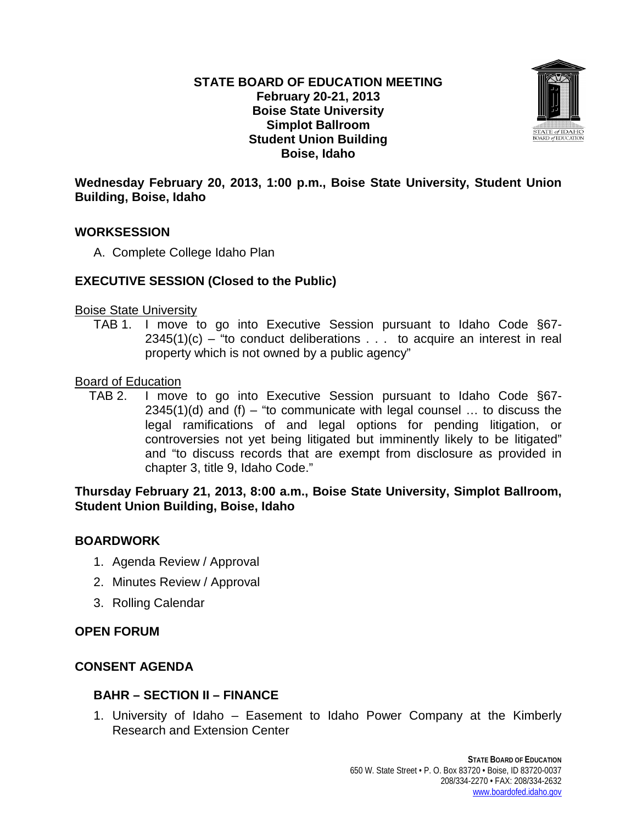### **STATE BOARD OF EDUCATION MEETING February 20-21, 2013 Boise State University Simplot Ballroom Student Union Building Boise, Idaho**



### **Wednesday February 20, 2013, 1:00 p.m., Boise State University, Student Union Building, Boise, Idaho**

### **WORKSESSION**

A. Complete College Idaho Plan

# **EXECUTIVE SESSION (Closed to the Public)**

#### Boise State University

TAB 1. I move to go into Executive Session pursuant to Idaho Code §67-  $2345(1)(c)$  – "to conduct deliberations . . . to acquire an interest in real property which is not owned by a public agency"

### Board of Education

TAB 2. I move to go into Executive Session pursuant to Idaho Code §67-  $2345(1)(d)$  and (f) – "to communicate with legal counsel ... to discuss the legal ramifications of and legal options for pending litigation, or controversies not yet being litigated but imminently likely to be litigated" and "to discuss records that are exempt from disclosure as provided in chapter 3, title 9, Idaho Code."

### **Thursday February 21, 2013, 8:00 a.m., Boise State University, Simplot Ballroom, Student Union Building, Boise, Idaho**

# **BOARDWORK**

- 1. Agenda Review / Approval
- 2. Minutes Review / Approval
- 3. Rolling Calendar

### **OPEN FORUM**

### **CONSENT AGENDA**

### **BAHR – SECTION II – FINANCE**

1. University of Idaho – Easement to Idaho Power Company at the Kimberly Research and Extension Center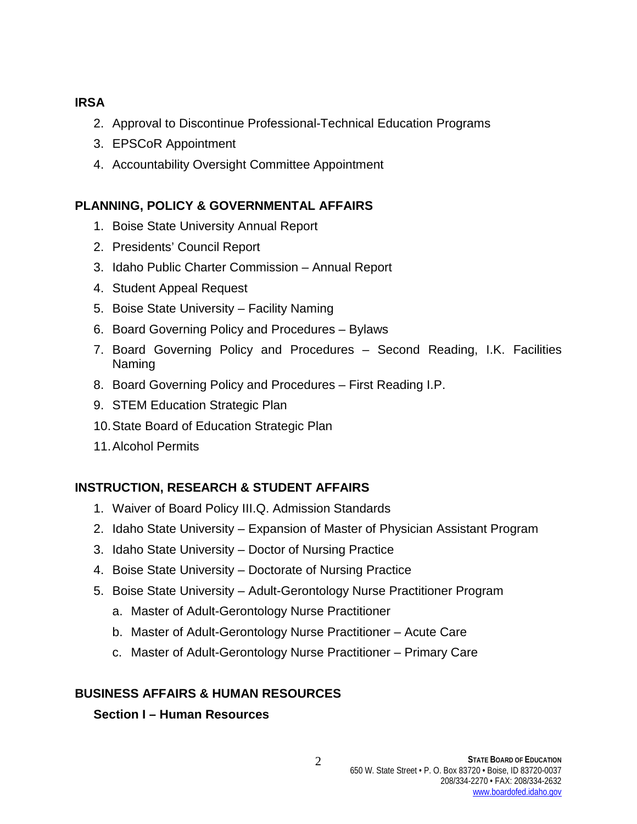# **IRSA**

- 2. Approval to Discontinue Professional-Technical Education Programs
- 3. EPSCoR Appointment
- 4. Accountability Oversight Committee Appointment

# **PLANNING, POLICY & GOVERNMENTAL AFFAIRS**

- 1. Boise State University Annual Report
- 2. Presidents' Council Report
- 3. Idaho Public Charter Commission Annual Report
- 4. Student Appeal Request
- 5. Boise State University Facility Naming
- 6. Board Governing Policy and Procedures Bylaws
- 7. Board Governing Policy and Procedures Second Reading, I.K. Facilities Naming
- 8. Board Governing Policy and Procedures First Reading I.P.
- 9. STEM Education Strategic Plan
- 10.State Board of Education Strategic Plan
- 11.Alcohol Permits

# **INSTRUCTION, RESEARCH & STUDENT AFFAIRS**

- 1. Waiver of Board Policy III.Q. Admission Standards
- 2. Idaho State University Expansion of Master of Physician Assistant Program
- 3. Idaho State University Doctor of Nursing Practice
- 4. Boise State University Doctorate of Nursing Practice
- 5. Boise State University Adult-Gerontology Nurse Practitioner Program
	- a. Master of Adult-Gerontology Nurse Practitioner
	- b. Master of Adult-Gerontology Nurse Practitioner Acute Care
	- c. Master of Adult-Gerontology Nurse Practitioner Primary Care

# **BUSINESS AFFAIRS & HUMAN RESOURCES**

### **Section I – Human Resources**

2